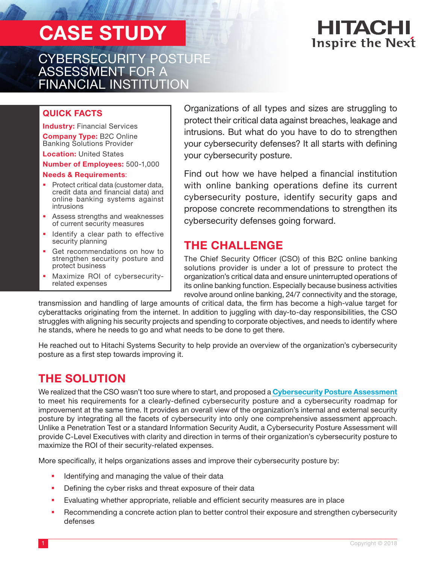# CASE STUDY

CYBERSECURITY POSTURE ASSESSMENT FOR A FINANCIAL INSTITUTION

## HITACHI **Inspire the Next**

#### QUICK FACTS

**Industry: Financial Services** Company Type: B2C Online Banking Solutions Provider

**Location: United States** 

Number of Employees: 500-1,000

#### Needs & Requirements:

- **Protect critical data (customer data,** credit data and financial data) and online banking systems against intrusions
- Assess strengths and weaknesses of current security measures
- **In Identify a clear path to effective** security planning
- Get recommendations on how to strengthen security posture and protect business
- Maximize ROI of cybersecurityrelated expenses

Organizations of all types and sizes are struggling to protect their critical data against breaches, leakage and intrusions. But what do you have to do to strengthen your cybersecurity defenses? It all starts with defining your cybersecurity posture.

Find out how we have helped a financial institution with online banking operations define its current cybersecurity posture, identify security gaps and propose concrete recommendations to strengthen its cybersecurity defenses going forward.

### THE CHALLENGE

The Chief Security Officer (CSO) of this B2C online banking solutions provider is under a lot of pressure to protect the organization's critical data and ensure uninterrupted operations of its online banking function. Especially because business activities revolve around online banking, 24/7 connectivity and the storage,

transmission and handling of large amounts of critical data, the firm has become a high-value target for cyberattacks originating from the internet. In addition to juggling with day-to-day responsibilities, the CSO struggles with aligning his security projects and spending to corporate objectives, and needs to identify where he stands, where he needs to go and what needs to be done to get there.

He reached out to Hitachi Systems Security to help provide an overview of the organization's cybersecurity posture as a first step towards improving it.

## THE SOLUTION

We realized that the CSO wasn't too sure where to start, and proposed a [Cybersecurity Posture Assessment](https://www.hitachi-systems-security.com/professional-services/cybersecurity-posture-assessment/) to meet his requirements for a clearly-defined cybersecurity posture and a cybersecurity roadmap for improvement at the same time. It provides an overall view of the organization's internal and external security posture by integrating all the facets of cybersecurity into only one comprehensive assessment approach. Unlike a Penetration Test or a standard Information Security Audit, a Cybersecurity Posture Assessment will provide C-Level Executives with clarity and direction in terms of their organization's cybersecurity posture to maximize the ROI of their security-related expenses.

More specifically, it helps organizations asses and improve their cybersecurity posture by:

- Identifying and managing the value of their data
- **•** Defining the cyber risks and threat exposure of their data
- Evaluating whether appropriate, reliable and efficient security measures are in place
- Recommending a concrete action plan to better control their exposure and strengthen cybersecurity defenses